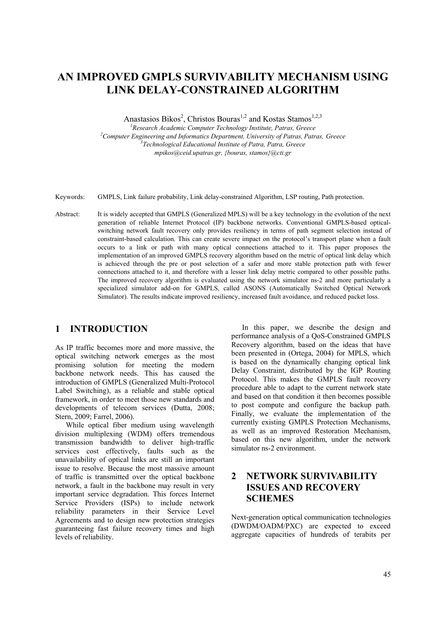# **AN IMPROVED GMPLS SURVIVABILITY MECHANISM USING LINK DELAY-CONSTRAINED ALGORITHM**

Anastasios Bikos<sup>2</sup>, Christos Bouras<sup>1,2</sup> and Kostas Stamos<sup>1,2,3</sup>

<sup>1</sup><br><sup>2</sup> *Research Academic Computer Technology Institute, Patras, Greece* <sup>2</sup><br><sup>2</sup> *Computer Engineering and Informatics Department, University of Batras, Batr* <sup>2</sup> Computer Engineering and Informatics Department, University of Patras, Patras, Greece *Technological Educational Institute of Patra, Patra, Greece mpikos@ceid.upatras.gr, {bouras, stamos}@cti.gr* 

- Keywords: GMPLS, Link failure probability, Link delay-constrained Algorithm, LSP routing, Path protection.
- Abstract: It is widely accepted that GMPLS (Generalized MPLS) will be a key technology in the evolution of the next generation of reliable Internet Protocol (IP) backbone networks. Conventional GMPLS-based opticalswitching network fault recovery only provides resiliency in terms of path segment selection instead of constraint-based calculation. This can create severe impact on the protocol's transport plane when a fault occurs to a link or path with many optical connections attached to it. This paper proposes the implementation of an improved GMPLS recovery algorithm based on the metric of optical link delay which is achieved through the pre or post selection of a safer and more stable protection path with fewer connections attached to it, and therefore with a lesser link delay metric compared to other possible paths. The improved recovery algorithm is evaluated using the network simulator ns-2 and more particularly a specialized simulator add-on for GMPLS, called ASONS (Automatically Switched Optical Network Simulator). The results indicate improved resiliency, increased fault avoidance, and reduced packet loss.

### **1 INTRODUCTION**

As IP traffic becomes more and more massive, the optical switching network emerges as the most promising solution for meeting the modern backbone network needs. This has caused the introduction of GMPLS (Generalized Multi-Protocol Label Switching), as a reliable and stable optical framework, in order to meet those new standards and developments of telecom services (Dutta, 2008; Stern, 2009; Farrel, 2006).

While optical fiber medium using wavelength division multiplexing (WDM) offers tremendous transmission bandwidth to deliver high-traffic services cost effectively, faults such as the unavailability of optical links are still an important issue to resolve. Because the most massive amount of traffic is transmitted over the optical backbone network, a fault in the backbone may result in very important service degradation. This forces Internet Service Providers (ISPs) to include network reliability parameters in their Service Level Agreements and to design new protection strategies guaranteeing fast failure recovery times and high levels of reliability.

In this paper, we describe the design and performance analysis of a QoS-Constrained GMPLS Recovery algorithm, based on the ideas that have been presented in (Ortega, 2004) for MPLS, which is based on the dynamically changing optical link Delay Constraint, distributed by the IGP Routing Protocol. This makes the GMPLS fault recovery procedure able to adapt to the current network state and based on that condition it then becomes possible to post compute and configure the backup path. Finally, we evaluate the implementation of the currently existing GMPLS Protection Mechanisms, as well as an improved Restoration Mechanism, based on this new algorithm, under the network simulator ns-2 environment.

# **2 NETWORK SURVIVABILITY ISSUES AND RECOVERY SCHEMES**

Next-generation optical communication technologies (DWDM/OADM/PXC) are expected to exceed aggregate capacities of hundreds of terabits per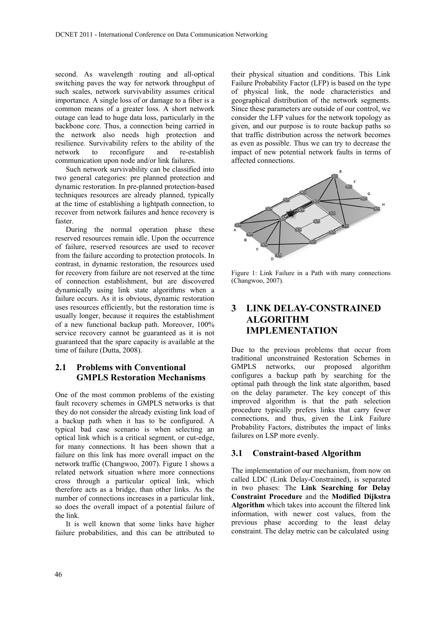second. As wavelength routing and all-optical switching paves the way for network throughput of such scales, network survivability assumes critical importance. A single loss of or damage to a fiber is a common means of a greater loss. A short network outage can lead to huge data loss, particularly in the backbone core. Thus, a connection being carried in the network also needs high protection and resilience. Survivability refers to the ability of the network to reconfigure and re-establish communication upon node and/or link failures.

Such network survivability can be classified into two general categories: pre planned protection and dynamic restoration. In pre-planned protection-based techniques resources are already planned, typically at the time of establishing a lightpath connection, to recover from network failures and hence recovery is faster.

During the normal operation phase these reserved resources remain idle. Upon the occurrence of failure, reserved resources are used to recover from the failure according to protection protocols. In contrast, in dynamic restoration, the resources used for recovery from failure are not reserved at the time of connection establishment, but are discovered dynamically using link state algorithms when a failure occurs. As it is obvious, dynamic restoration uses resources efficiently, but the restoration time is usually longer, because it requires the establishment of a new functional backup path. Moreover, 100% service recovery cannot be guaranteed as it is not guaranteed that the spare capacity is available at the time of failure (Dutta, 2008).

## **2.1 Problems with Conventional GMPLS Restoration Mechanisms**

One of the most common problems of the existing fault recovery schemes in GMPLS networks is that they do not consider the already existing link load of a backup path when it has to be configured. A typical bad case scenario is when selecting an optical link which is a critical segment, or cut-edge, for many connections. It has been shown that a failure on this link has more overall impact on the network traffic (Changwoo, 2007). Figure 1 shows a related network situation where more connections cross through a particular optical link, which therefore acts as a bridge, than other links. As the number of connections increases in a particular link, so does the overall impact of a potential failure of the link.

It is well known that some links have higher failure probabilities, and this can be attributed to

their physical situation and conditions. This Link Failure Probability Factor (LFP) is based on the type of physical link, the node characteristics and geographical distribution of the network segments. Since these parameters are outside of our control, we consider the LFP values for the network topology as given, and our purpose is to route backup paths so that traffic distribution across the network becomes as even as possible. Thus we can try to decrease the impact of new potential network faults in terms of affected connections.



Figure 1: Link Failure in a Path with many connections (Changwoo, 2007).

# **3 LINK DELAY-CONSTRAINED ALGORITHM IMPLEMENTATION**

Due to the previous problems that occur from traditional unconstrained Restoration Schemes in GMPLS networks, our proposed algorithm configures a backup path by searching for the optimal path through the link state algorithm, based on the delay parameter. The key concept of this improved algorithm is that the path selection procedure typically prefers links that carry fewer connections, and thus, given the Link Failure Probability Factors, distributes the impact of links failures on LSP more evenly.

#### **3.1 Constraint-based Algorithm**

The implementation of our mechanism, from now on called LDC (Link Delay-Constrained), is separated in two phases: The **Link Searching for Delay Constraint Procedure** and the **Modified Dijkstra Algorithm** which takes into account the filtered link information, with newer cost values, from the previous phase according to the least delay constraint. The delay metric can be calculated using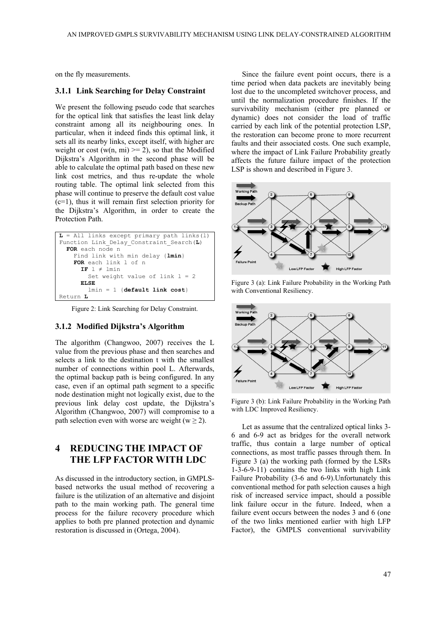on the fly measurements.

#### **3.1.1 Link Searching for Delay Constraint**

We present the following pseudo code that searches for the optical link that satisfies the least link delay constraint among all its neighbouring ones. In particular, when it indeed finds this optimal link, it sets all its nearby links, except itself, with higher arc weight or cost (w(n, mi)  $\ge$  = 2), so that the Modified Dijkstra's Algorithm in the second phase will be able to calculate the optimal path based on these new link cost metrics, and thus re-update the whole routing table. The optimal link selected from this phase will continue to preserve the default cost value (c=1), thus it will remain first selection priority for the Dijkstra's Algorithm, in order to create the Protection Path.

```
L = All links except primary path links(l) 
Function Link Delay Constraint Search(L)
   FOR each node n 
     Find link with min delay {lmin} 
     FOR each link l of n 
      IF l \neq lmin
        Set weight value of link l = 2 ELSE
         lmin = 1 {default link cost} 
Return L
```
Figure 2: Link Searching for Delay Constraint.

#### **3.1.2 Modified Dijkstra's Algorithm**

The algorithm (Changwoo, 2007) receives the L value from the previous phase and then searches and selects a link to the destination t with the smallest number of connections within pool L. Afterwards, the optimal backup path is being configured. In any case, even if an optimal path segment to a specific node destination might not logically exist, due to the previous link delay cost update, the Dijkstra's Algorithm (Changwoo, 2007) will compromise to a path selection even with worse arc weight ( $w \ge 2$ ).

# **4 REDUCING THE IMPACT OF THE LFP FACTOR WITH LDC**

As discussed in the introductory section, in GMPLSbased networks the usual method of recovering a failure is the utilization of an alternative and disjoint path to the main working path. The general time process for the failure recovery procedure which applies to both pre planned protection and dynamic restoration is discussed in (Ortega, 2004).

Since the failure event point occurs, there is a time period when data packets are inevitably being lost due to the uncompleted switchover process, and until the normalization procedure finishes. If the survivability mechanism (either pre planned or dynamic) does not consider the load of traffic carried by each link of the potential protection LSP, the restoration can become prone to more recurrent faults and their associated costs. One such example, where the impact of Link Failure Probability greatly affects the future failure impact of the protection LSP is shown and described in Figure 3.



Figure 3 (a): Link Failure Probability in the Working Path with Conventional Resiliency.



Figure 3 (b): Link Failure Probability in the Working Path with LDC Improved Resiliency.

Let as assume that the centralized optical links 3- 6 and 6-9 act as bridges for the overall network traffic, thus contain a large number of optical connections, as most traffic passes through them. In Figure 3 (a) the working path (formed by the LSRs 1-3-6-9-11) contains the two links with high Link Failure Probability (3-6 and 6-9).Unfortunately this conventional method for path selection causes a high risk of increased service impact, should a possible link failure occur in the future. Indeed, when a failure event occurs between the nodes 3 and 6 (one of the two links mentioned earlier with high LFP Factor), the GMPLS conventional survivability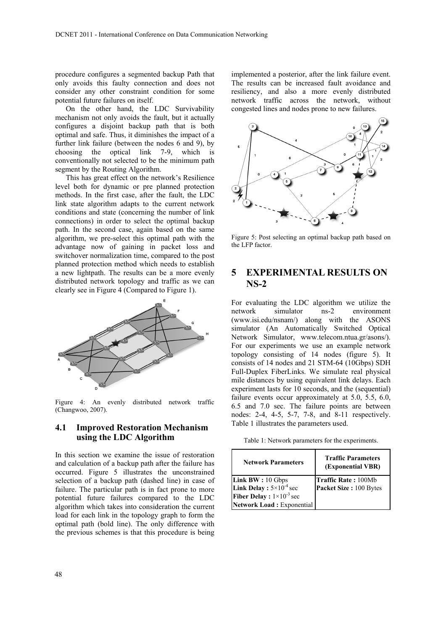procedure configures a segmented backup Path that only avoids this faulty connection and does not consider any other constraint condition for some potential future failures on itself.

On the other hand, the LDC Survivability mechanism not only avoids the fault, but it actually configures a disjoint backup path that is both optimal and safe. Thus, it diminishes the impact of a further link failure (between the nodes 6 and 9), by choosing the optical link 7-9, which is conventionally not selected to be the minimum path segment by the Routing Algorithm.

This has great effect on the network's Resilience level both for dynamic or pre planned protection methods. In the first case, after the fault, the LDC link state algorithm adapts to the current network conditions and state (concerning the number of link connections) in order to select the optimal backup path. In the second case, again based on the same algorithm, we pre-select this optimal path with the advantage now of gaining in packet loss and switchover normalization time, compared to the post planned protection method which needs to establish a new lightpath. The results can be a more evenly distributed network topology and traffic as we can clearly see in Figure 4 (Compared to Figure 1).



Figure 4: An evenly distributed network traffic (Changwoo, 2007).

### **4.1 Improved Restoration Mechanism using the LDC Algorithm**

In this section we examine the issue of restoration and calculation of a backup path after the failure has occurred. Figure 5 illustrates the unconstrained selection of a backup path (dashed line) in case of failure. The particular path is in fact prone to more potential future failures compared to the LDC algorithm which takes into consideration the current load for each link in the topology graph to form the optimal path (bold line). The only difference with the previous schemes is that this procedure is being

implemented a posterior, after the link failure event. The results can be increased fault avoidance and resiliency, and also a more evenly distributed network traffic across the network, without congested lines and nodes prone to new failures.



Figure 5: Post selecting an optimal backup path based on the LFP factor.

# **5 EXPERIMENTAL RESULTS ON NS-2**

For evaluating the LDC algorithm we utilize the network simulator ns-2 environment (www.isi.edu/nsnam/) along with the ASONS simulator (An Automatically Switched Optical Network Simulator, www.telecom.ntua.gr/asons/). For our experiments we use an example network topology consisting of 14 nodes (figure 5). It consists of 14 nodes and 21 STM-64 (10Gbps) SDH Full-Duplex FiberLinks. We simulate real physical mile distances by using equivalent link delays. Each experiment lasts for 10 seconds, and the (sequential) failure events occur approximately at 5.0, 5.5, 6.0, 6.5 and 7.0 sec. The failure points are between nodes: 2-4, 4-5, 5-7, 7-8, and 8-11 respectively. Table 1 illustrates the parameters used.

Table 1: Network parameters for the experiments.

| <b>Network Parameters</b>                                                                 | <b>Traffic Parameters</b><br>(Exponential VBR) |  |  |  |
|-------------------------------------------------------------------------------------------|------------------------------------------------|--|--|--|
| <b>Link BW</b> : $10 \text{ Gbps}$                                                        | <b>Traffic Rate: 100Mb</b>                     |  |  |  |
|                                                                                           | Packet Size: 100 Bytes                         |  |  |  |
| <b>Link Delay</b> : $5 \times 10^{-4}$ sec<br><b>Fiber Delay</b> : $1 \times 10^{-3}$ sec |                                                |  |  |  |
| Network Load: Exponential                                                                 |                                                |  |  |  |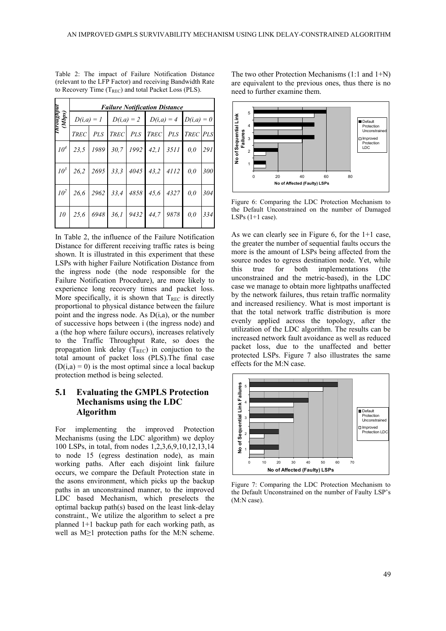|                      | <b>Failure Notification Distance</b> |  |                                                     |  |  |  |     |     |
|----------------------|--------------------------------------|--|-----------------------------------------------------|--|--|--|-----|-----|
| Throughput<br>(Mbps) |                                      |  | $D(i,a) = 1$ $D(i,a) = 2$ $D(i,a) = 4$ $D(i,a) = 0$ |  |  |  |     |     |
|                      | <b>TREC</b>                          |  | PLS TREC PLS TREC PLS TREC PLS                      |  |  |  |     |     |
| 10 <sup>4</sup>      |                                      |  | 23,5   1989   30,7   1992   42,1   3511             |  |  |  | 0,0 | 291 |
| $10^3$               |                                      |  | $26,2$ $2695$ $33,3$ $4045$ $43,2$ $4112$ 0,0       |  |  |  |     | 300 |
| $10^2$               |                                      |  | $26,6$   2962   33,4   4858   45,6   4327   0,0     |  |  |  |     | 304 |
| 10                   |                                      |  | 25,6 6948 36,1 9432 44,7 9878                       |  |  |  | 0,0 | 334 |

Table 2: The impact of Failure Notification Distance (relevant to the LFP Factor) and receiving Bandwidth Rate to Recovery Time  $(T_{REC})$  and total Packet Loss (PLS).

In Table 2, the influence of the Failure Notification Distance for different receiving traffic rates is being shown. It is illustrated in this experiment that these LSPs with higher Failure Notification Distance from the ingress node (the node responsible for the Failure Notification Procedure), are more likely to experience long recovery times and packet loss. More specifically, it is shown that  $T_{REC}$  is directly proportional to physical distance between the failure point and the ingress node. As  $D(i,a)$ , or the number of successive hops between i (the ingress node) and a (the hop where failure occurs), increases relatively to the Traffic Throughput Rate, so does the propagation link delay  $(T_{REC})$  in conjuction to the total amount of packet loss (PLS).The final case  $(D(i,a) = 0)$  is the most optimal since a local backup protection method is being selected.

### **5.1 Evaluating the GMPLS Protection Mechanisms using the LDC Algorithm**

For implementing the improved Protection Mechanisms (using the LDC algorithm) we deploy 100 LSPs, in total, from nodes 1,2,3,6,9,10,12,13,14 to node 15 (egress destination node), as main working paths. After each disjoint link failure occurs, we compare the Default Protection state in the asons environment, which picks up the backup paths in an unconstrained manner, to the improved LDC based Mechanism, which preselects the optimal backup path(s) based on the least link-delay constraint., We utilize the algorithm to select a pre planned 1+1 backup path for each working path, as well as M≥1 protection paths for the M:N scheme.

The two other Protection Mechanisms (1:1 and 1+N) are equivalent to the previous ones, thus there is no need to further examine them.



Figure 6: Comparing the LDC Protection Mechanism to the Default Unconstrained on the number of Damaged LSPs  $(1+1 \text{ case})$ .

As we can clearly see in Figure 6, for the 1+1 case, the greater the number of sequential faults occurs the more is the amount of LSPs being affected from the source nodes to egress destination node. Yet, while this true for both implementations (the unconstrained and the metric-based), in the LDC case we manage to obtain more lightpaths unaffected by the network failures, thus retain traffic normality and increased resiliency. What is most important is that the total network traffic distribution is more evenly applied across the topology, after the utilization of the LDC algorithm. The results can be increased network fault avoidance as well as reduced packet loss, due to the unaffected and better protected LSPs. Figure 7 also illustrates the same effects for the M:N case.



Figure 7: Comparing the LDC Protection Mechanism to the Default Unconstrained on the number of Faulty LSP's (M:N case).